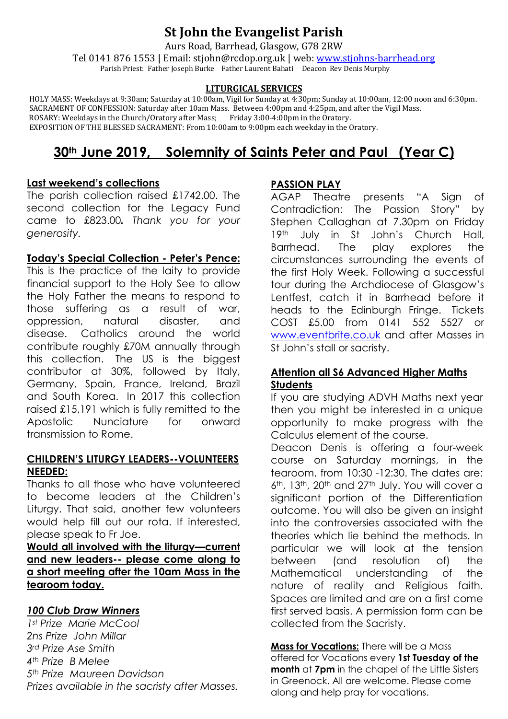## **St John the Evangelist Parish**

Aurs Road, Barrhead, Glasgow, G78 2RW

Tel 0141 876 1553 | Email: stjohn@rcdop.org.uk | web: [www.stjohns-barrhead.org](http://www.stjohns-barrhead.org/) Parish Priest: Father Joseph Burke Father Laurent Bahati Deacon Rev Denis Murphy

#### **LITURGICAL SERVICES**

 HOLY MASS: Weekdays at 9:30am; Saturday at 10:00am, Vigil for Sunday at 4:30pm; Sunday at 10:00am, 12:00 noon and 6:30pm. SACRAMENT OF CONFESSION: Saturday after 10am Mass. Between 4:00pm and 4:25pm, and after the Vigil Mass. ROSARY: Weekdays in the Church/Oratory after Mass; Friday 3:00-4:00pm in the Oratory. EXPOSITION OF THE BLESSED SACRAMENT: From 10:00am to 9:00pm each weekday in the Oratory.

# **30th June 2019, Solemnity of Saints Peter and Paul (Year C)**

#### **Last weekend's collections**

The parish collection raised £1742.00. The second collection for the Legacy Fund came to £823.00*. Thank you for your generosity.* 

#### **Today's Special Collection - Peter's Pence:**

This is the practice of the laity to provide financial support to the Holy See to allow the Holy Father the means to respond to those suffering as a result of war, oppression, natural disaster, and disease. Catholics around the world contribute roughly £70M annually through this collection. The US is the biggest contributor at 30%, followed by Italy, Germany, Spain, France, Ireland, Brazil and South Korea. In 2017 this collection raised £15,191 which is fully remitted to the Apostolic Nunciature for onward transmission to Rome.

#### **CHILDREN'S LITURGY LEADERS--VOLUNTEERS NEEDED:**

Thanks to all those who have volunteered to become leaders at the Children's Liturgy. That said, another few volunteers would help fill out our rota. If interested, please speak to Fr Joe.

**Would all involved with the liturgy—current and new leaders-- please come along to a short meeting after the 10am Mass in the tearoom today.**

#### *100 Club Draw Winners*

*1st Prize Marie McCool 2ns Prize John Millar 3rd Prize Ase Smith 4th Prize B Melee 5th Prize Maureen Davidson Prizes available in the sacristy after Masses.*

## **PASSION PLAY**

AGAP Theatre presents "A Sign of Contradiction: The Passion Story" by Stephen Callaghan at 7.30pm on Friday 19th July in St John's Church Hall, Barrhead. The play explores the circumstances surrounding the events of the first Holy Week. Following a successful tour during the Archdiocese of Glasgow's Lentfest, catch it in Barrhead before it heads to the Edinburgh Fringe. Tickets COST £5.00 from 0141 552 5527 or [www.eventbrite.co.uk](http://www.eventbrite.co.uk/) and after Masses in St John's stall or sacristy.

#### **Attention all S6 Advanced Higher Maths Students**

If you are studying ADVH Maths next year then you might be interested in a unique opportunity to make progress with the Calculus element of the course.

Deacon Denis is offering a four-week course on Saturday mornings, in the tearoom, from 10:30 -12:30. The dates are: 6<sup>th</sup>, 13<sup>th</sup>, 20<sup>th</sup> and 27<sup>th</sup> July. You will cover a significant portion of the Differentiation outcome. You will also be given an insight into the controversies associated with the theories which lie behind the methods. In particular we will look at the tension between (and resolution of) the Mathematical understanding of the nature of reality and Religious faith. Spaces are limited and are on a first come first served basis. A permission form can be collected from the Sacristy.

**Mass for Vocations:** There will be a Mass offered for Vocations every **1st Tuesday of the month** at **7pm** in the chapel of the Little Sisters in Greenock. All are welcome. Please come along and help pray for vocations.